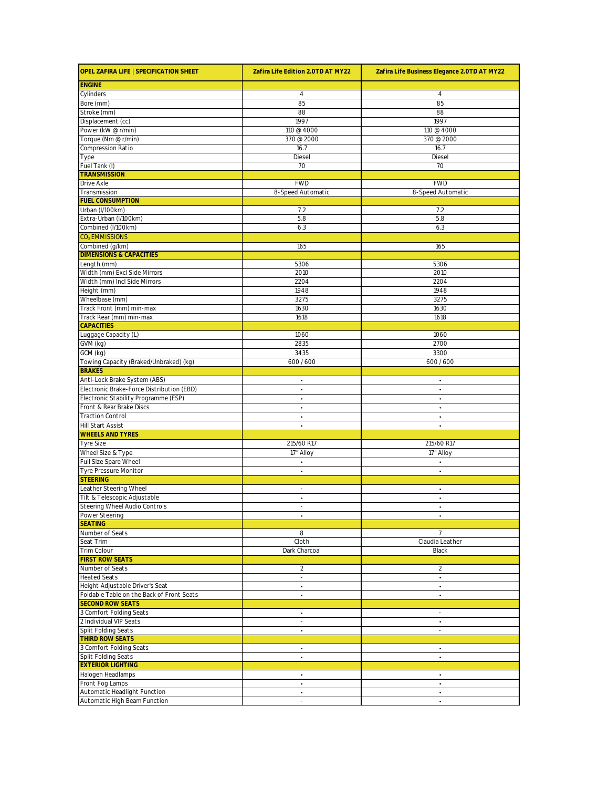| OPEL ZAFIRA LIFE   SPECIFICATION SHEET            | Zafira Life Edition 2.0TD AT MY22     | Zafira Life Business Elegance 2.0TD AT MY22 |
|---------------------------------------------------|---------------------------------------|---------------------------------------------|
| <b>ENGINE</b>                                     |                                       |                                             |
| Cylinders                                         | $\overline{4}$                        | $\overline{4}$                              |
| Bore (mm)                                         | 85                                    | 85                                          |
| Stroke (mm)                                       | 88                                    | 88                                          |
| Displacement (cc)                                 | 1997                                  | 1997                                        |
| Power (kW @ r/min)                                | 110 @ 4000                            | 110 @ 4000                                  |
| Torque (Nm @ r/min)                               | 370 @ 2000                            | 370 @ 2000                                  |
| Compression Ratio                                 | 16.7                                  | 16.7                                        |
| Type                                              | Diesel                                | Diesel                                      |
| Fuel Tank (I)                                     | 70                                    | 70                                          |
| <b>TRANSMISSION</b>                               |                                       |                                             |
| <b>Drive Axle</b>                                 | <b>FWD</b>                            | <b>FWD</b>                                  |
| Transmission                                      | 8-Speed Automatic                     | 8-Speed Automatic                           |
| <b>FUEL CONSUMPTION</b>                           |                                       |                                             |
| Urban (I/100km)                                   | 7.2                                   | 7.2                                         |
| Extra-Urban (I/100km)<br>Combined (I/100km)       | 5.8<br>6.3                            | 5.8<br>6.3                                  |
| CO <sub>2</sub> EMMISSIONS                        |                                       |                                             |
| Combined (g/km)                                   |                                       |                                             |
| <b>DIMENSIONS &amp; CAPACITIES</b>                | 165                                   | 165                                         |
| Length (mm)                                       | 5306                                  | 5306                                        |
| Width (mm) Excl Side Mirrors                      | 2010                                  | 2010                                        |
| Width (mm) Incl Side Mirrors                      | 2204                                  | 2204                                        |
| Height (mm)                                       | 1948                                  | 1948                                        |
| Wheelbase (mm)                                    | 3275                                  | 3275                                        |
| Track Front (mm) min-max                          | 1630                                  | 1630                                        |
| Track Rear (mm) min-max                           | 1618                                  | 1618                                        |
| <b>CAPACITIES</b>                                 |                                       |                                             |
| Luggage Capacity (L)                              | 1060                                  | 1060                                        |
| GVM (kg)                                          | 2835                                  | 2700                                        |
| GCM (kg)                                          | 3435                                  | 3300                                        |
| Towing Capacity (Braked/Unbraked) (kg)            | 600 / 600                             | 600/600                                     |
| <b>BRAKES</b>                                     |                                       |                                             |
| Anti-Lock Brake System (ABS)                      | $\bullet$                             | $\ddot{\phantom{0}}$                        |
| Electronic Brake-Force Distribution (EBD)         | $\bullet$                             | $\bullet$                                   |
| Electronic Stability Programme (ESP)              | $\bullet$                             | $\bullet$                                   |
| Front & Rear Brake Discs                          | $\bullet$                             | $\bullet$                                   |
| <b>Traction Control</b>                           | $\bullet$                             | $\bullet$                                   |
| Hill Start Assist<br><b>WHEELS AND TYRES</b>      | $\bullet$                             | $\bullet$                                   |
| <b>Tyre Size</b>                                  |                                       |                                             |
| Wheel Size & Type                                 | 215/60 R17<br>17" Alloy               | 215/60 R17<br>17" Alloy                     |
| Full Size Spare Wheel                             | $\bullet$                             | $\bullet$                                   |
| Tyre Pressure Monitor                             | $\bullet$                             | $\bullet$                                   |
| <b>STEERING</b>                                   |                                       |                                             |
| Leather Steering Wheel                            | $\sim$                                | $\bullet$                                   |
| Tilt & Telescopic Adjustable                      | $\bullet$                             | $\bullet$                                   |
| Steering Wheel Audio Controls                     | $\sim$                                | $\bullet$                                   |
| Power Steering                                    | $\bullet$                             | $\bullet$                                   |
| <b>SEATING</b>                                    |                                       |                                             |
| Number of Seats                                   | 8                                     | 7                                           |
| Seat Trim                                         | Cloth                                 | Claudia Leather                             |
| Trim Colour                                       | Dark Charcoal                         | <b>Black</b>                                |
| <b>FIRST ROW SEATS</b>                            |                                       |                                             |
| Number of Seats                                   | $\overline{c}$                        | $\overline{c}$                              |
| <b>Heated Seats</b>                               | $\overline{\phantom{a}}$              | $\bullet$                                   |
| Height Adjustable Driver's Seat                   | $\bullet$                             | $\bullet$                                   |
| Foldable Table on the Back of Front Seats         | $\bullet$                             | $\bullet$                                   |
| <b>SECOND ROW SEATS</b>                           |                                       |                                             |
| 3 Comfort Folding Seats<br>2 Individual VIP Seats | $\bullet$<br>$\overline{\phantom{a}}$ | $\omega$<br>$\bullet$                       |
| Split Folding Seats                               | $\bullet$                             | $\sim$                                      |
| <b>THIRD ROW SEATS</b>                            |                                       |                                             |
| 3 Comfort Folding Seats                           | $\bullet$                             | $\bullet$                                   |
| Split Folding Seats                               | $\bullet$                             | $\bullet$                                   |
| <b>EXTERIOR LIGHTING</b>                          |                                       |                                             |
| Halogen Headlamps                                 | $\bullet$                             |                                             |
| Front Fog Lamps                                   | $\bullet$                             | $\bullet$                                   |
| Automatic Headlight Function                      | $\bullet$                             | $\bullet$                                   |
| Automatic High Beam Function                      | $\sim$                                | $\bullet$                                   |